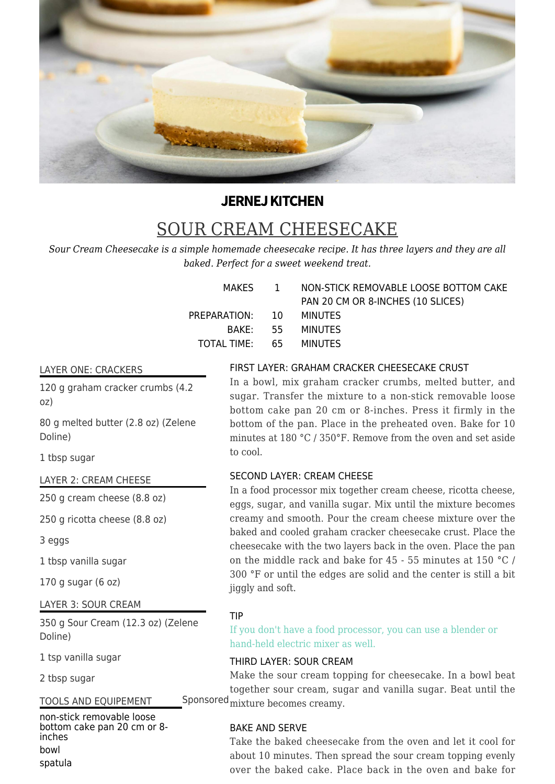

# **JERNEJ KITCHEN**

# SOUR CREAM CHEESECAKE

*Sour Cream Cheesecake is a simple homemade cheesecake recipe. It has three layers and they are all baked. Perfect for a sweet weekend treat.*

|                        | MAKES 1 NON-STICK REMOVABLE LOOSE BOTTOM CAKE |
|------------------------|-----------------------------------------------|
|                        | PAN 20 CM OR 8-INCHES (10 SLICES)             |
| PREPARATION: 10        | MINUTES                                       |
|                        | BAKE: 55 MINUTES                              |
| TOTAL TIME: 65 MINUTES |                                               |

#### LAYER ONE: CRACKERS

120 g graham cracker crumbs (4.2) oz)

80 g melted butter (2.8 oz) (Zelene Doline)

1 tbsp sugar

# LAYER 2: CREAM CHEESE

250 g cream cheese (8.8 oz)

250 g ricotta cheese (8.8 oz)

3 eggs

1 tbsp vanilla sugar

170 g sugar (6 oz)

LAYER 3: SOUR CREAM

350 g Sour Cream (12.3 oz) (Zelene Doline)

1 tsp vanilla sugar

2 tbsp sugar

# TOOLS AND EQUIPEMENT

non-stick removable loose bottom cake pan 20 cm or 8 inches bowl spatula

#### FIRST LAYER: GRAHAM CRACKER CHEESECAKE CRUST

In a bowl, mix graham cracker crumbs, melted butter, and sugar. Transfer the mixture to a non-stick removable loose bottom cake pan 20 cm or 8-inches. Press it firmly in the bottom of the pan. Place in the preheated oven. Bake for 10 minutes at 180 °C / 350°F. Remove from the oven and set aside to cool.

# SECOND LAYER: CREAM CHEESE

In a food processor mix together cream cheese, ricotta cheese, eggs, sugar, and vanilla sugar. Mix until the mixture becomes creamy and smooth. Pour the cream cheese mixture over the baked and cooled graham cracker cheesecake crust. Place the cheesecake with the two layers back in the oven. Place the pan on the middle rack and bake for 45 - 55 minutes at 150 °C / 300 °F or until the edges are solid and the center is still a bit jiggly and soft.

# TIP

If you don't have a food processor, you can use a blender or hand-held electric mixer as well.

# THIRD LAYER: SOUR CREAM

Make the sour cream topping for cheesecake. In a bowl beat together sour cream, sugar and vanilla sugar. Beat until the Sponsored mixture becomes creamy.

# BAKE AND SERVE

Take the baked cheesecake from the oven and let it cool for about 10 minutes. Then spread the sour cream topping evenly over the baked cake. Place back in the oven and bake for